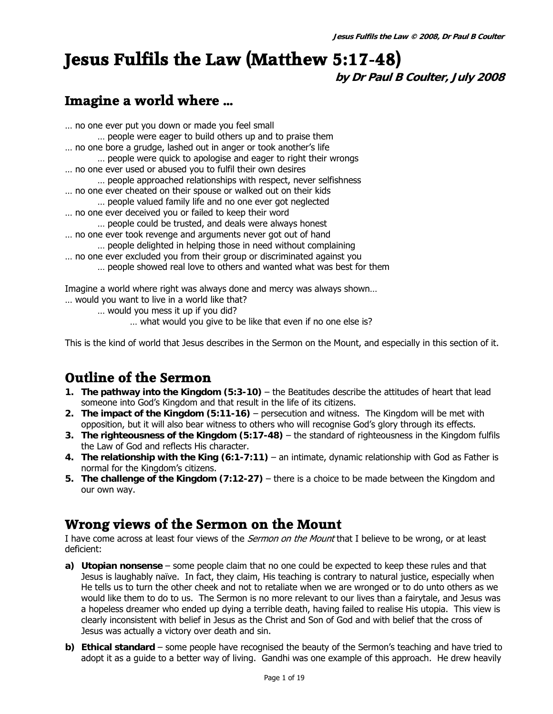# **Jesus Fulfils the Law (Matthew 5:17-48)**

**by Dr Paul B Coulter, July 2008** 

## **Imagine a world where …**

- … no one ever put you down or made you feel small … people were eager to build others up and to praise them … no one bore a grudge, lashed out in anger or took another's life … people were quick to apologise and eager to right their wrongs … no one ever used or abused you to fulfil their own desires … people approached relationships with respect, never selfishness … no one ever cheated on their spouse or walked out on their kids … people valued family life and no one ever got neglected … no one ever deceived you or failed to keep their word … people could be trusted, and deals were always honest … no one ever took revenge and arguments never got out of hand … people delighted in helping those in need without complaining … no one ever excluded you from their group or discriminated against you
	- … people showed real love to others and wanted what was best for them

Imagine a world where right was always done and mercy was always shown…

- … would you want to live in a world like that?
	- … would you mess it up if you did?
		- … what would you give to be like that even if no one else is?

This is the kind of world that Jesus describes in the Sermon on the Mount, and especially in this section of it.

## **Outline of the Sermon**

- **1. The pathway into the Kingdom (5:3-10)** the Beatitudes describe the attitudes of heart that lead someone into God's Kingdom and that result in the life of its citizens.
- **2. The impact of the Kingdom (5:11-16)** persecution and witness. The Kingdom will be met with opposition, but it will also bear witness to others who will recognise God's glory through its effects.
- **3. The righteousness of the Kingdom (5:17-48)** the standard of righteousness in the Kingdom fulfils the Law of God and reflects His character.
- **4. The relationship with the King (6:1-7:11)** an intimate, dynamic relationship with God as Father is normal for the Kingdom's citizens.
- **5. The challenge of the Kingdom (7:12-27)** there is a choice to be made between the Kingdom and our own way.

### **Wrong views of the Sermon on the Mount**

I have come across at least four views of the *Sermon on the Mount* that I believe to be wrong, or at least deficient:

- **a) Utopian nonsense** some people claim that no one could be expected to keep these rules and that Jesus is laughably naïve. In fact, they claim, His teaching is contrary to natural justice, especially when He tells us to turn the other cheek and not to retaliate when we are wronged or to do unto others as we would like them to do to us. The Sermon is no more relevant to our lives than a fairytale, and Jesus was a hopeless dreamer who ended up dying a terrible death, having failed to realise His utopia. This view is clearly inconsistent with belief in Jesus as the Christ and Son of God and with belief that the cross of Jesus was actually a victory over death and sin.
- **b) Ethical standard** some people have recognised the beauty of the Sermon's teaching and have tried to adopt it as a guide to a better way of living. Gandhi was one example of this approach. He drew heavily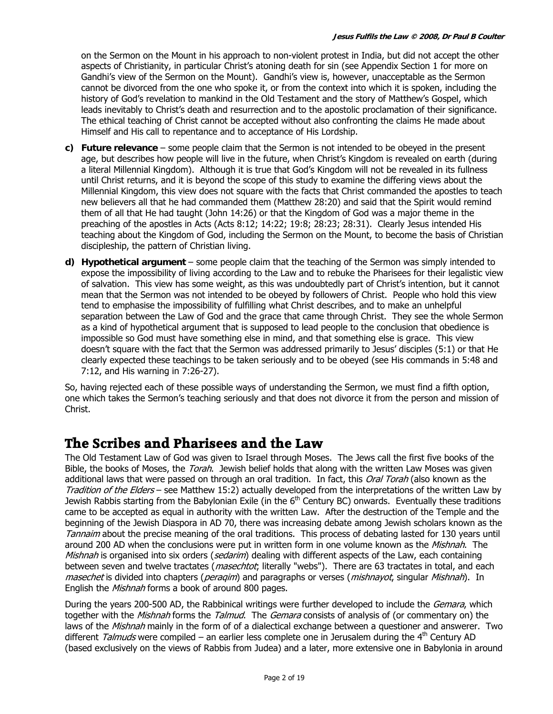on the Sermon on the Mount in his approach to non-violent protest in India, but did not accept the other aspects of Christianity, in particular Christ's atoning death for sin (see Appendix Section 1 for more on Gandhi's view of the Sermon on the Mount). Gandhi's view is, however, unacceptable as the Sermon cannot be divorced from the one who spoke it, or from the context into which it is spoken, including the history of God's revelation to mankind in the Old Testament and the story of Matthew's Gospel, which leads inevitably to Christ's death and resurrection and to the apostolic proclamation of their significance. The ethical teaching of Christ cannot be accepted without also confronting the claims He made about Himself and His call to repentance and to acceptance of His Lordship.

- **c) Future relevance** some people claim that the Sermon is not intended to be obeyed in the present age, but describes how people will live in the future, when Christ's Kingdom is revealed on earth (during a literal Millennial Kingdom). Although it is true that God's Kingdom will not be revealed in its fullness until Christ returns, and it is beyond the scope of this study to examine the differing views about the Millennial Kingdom, this view does not square with the facts that Christ commanded the apostles to teach new believers all that he had commanded them (Matthew 28:20) and said that the Spirit would remind them of all that He had taught (John 14:26) or that the Kingdom of God was a major theme in the preaching of the apostles in Acts (Acts 8:12; 14:22; 19:8; 28:23; 28:31). Clearly Jesus intended His teaching about the Kingdom of God, including the Sermon on the Mount, to become the basis of Christian discipleship, the pattern of Christian living.
- **d) Hypothetical argument**  some people claim that the teaching of the Sermon was simply intended to expose the impossibility of living according to the Law and to rebuke the Pharisees for their legalistic view of salvation. This view has some weight, as this was undoubtedly part of Christ's intention, but it cannot mean that the Sermon was not intended to be obeyed by followers of Christ. People who hold this view tend to emphasise the impossibility of fulfilling what Christ describes, and to make an unhelpful separation between the Law of God and the grace that came through Christ. They see the whole Sermon as a kind of hypothetical argument that is supposed to lead people to the conclusion that obedience is impossible so God must have something else in mind, and that something else is grace. This view doesn't square with the fact that the Sermon was addressed primarily to Jesus' disciples (5:1) or that He clearly expected these teachings to be taken seriously and to be obeyed (see His commands in 5:48 and 7:12, and His warning in 7:26-27).

So, having rejected each of these possible ways of understanding the Sermon, we must find a fifth option, one which takes the Sermon's teaching seriously and that does not divorce it from the person and mission of Christ.

## **The Scribes and Pharisees and the Law**

The Old Testament Law of God was given to Israel through Moses. The Jews call the first five books of the Bible, the books of Moses, the *Torah*. Jewish belief holds that along with the written Law Moses was given additional laws that were passed on through an oral tradition. In fact, this Oral Torah (also known as the Tradition of the Elders – see Matthew 15:2) actually developed from the interpretations of the written Law by Jewish Rabbis starting from the Babylonian Exile (in the  $6<sup>th</sup>$  Century BC) onwards. Eventually these traditions came to be accepted as equal in authority with the written Law. After the destruction of the Temple and the beginning of the Jewish Diaspora in AD 70, there was increasing debate among Jewish scholars known as the Tannaim about the precise meaning of the oral traditions. This process of debating lasted for 130 years until around 200 AD when the conclusions were put in written form in one volume known as the Mishnah. The Mishnah is organised into six orders (sedarim) dealing with different aspects of the Law, each containing between seven and twelve tractates (*masechtot*; literally "webs"). There are 63 tractates in total, and each masechet is divided into chapters (peraqim) and paragraphs or verses (mishnayot, singular Mishnah). In English the *Mishnah* forms a book of around 800 pages.

During the years 200-500 AD, the Rabbinical writings were further developed to include the *Gemara*, which together with the *Mishnah* forms the Talmud. The Gemara consists of analysis of (or commentary on) the laws of the *Mishnah* mainly in the form of of a dialectical exchange between a questioner and answerer. Two different Talmuds were compiled – an earlier less complete one in Jerusalem during the  $4<sup>th</sup>$  Century AD (based exclusively on the views of Rabbis from Judea) and a later, more extensive one in Babylonia in around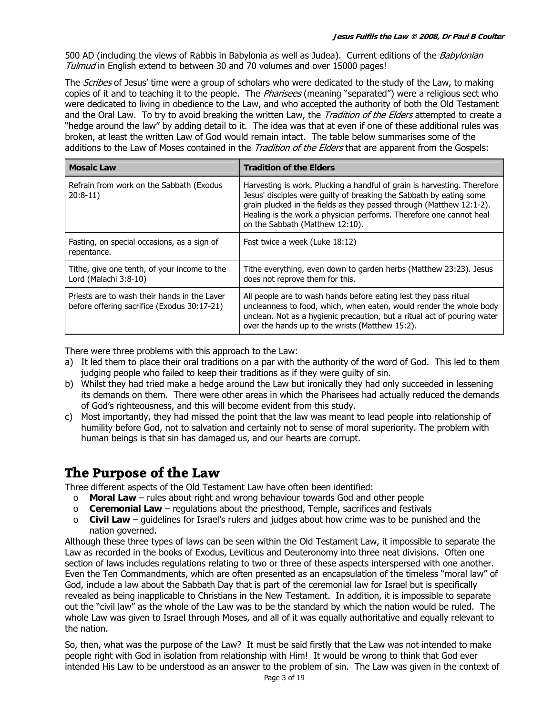500 AD (including the views of Rabbis in Babylonia as well as Judea). Current editions of the Babylonian Tulmud in English extend to between 30 and 70 volumes and over 15000 pages!

The *Scribes* of Jesus' time were a group of scholars who were dedicated to the study of the Law, to making copies of it and to teaching it to the people. The *Pharisees* (meaning "separated") were a religious sect who were dedicated to living in obedience to the Law, and who accepted the authority of both the Old Testament and the Oral Law. To try to avoid breaking the written Law, the Tradition of the Elders attempted to create a "hedge around the law" by adding detail to it. The idea was that at even if one of these additional rules was broken, at least the written Law of God would remain intact. The table below summarises some of the additions to the Law of Moses contained in the *Tradition of the Elders* that are apparent from the Gospels:

| <b>Mosaic Law</b>                                                                           | <b>Tradition of the Elders</b>                                                                                                                                                                                                                                                                                                    |  |  |
|---------------------------------------------------------------------------------------------|-----------------------------------------------------------------------------------------------------------------------------------------------------------------------------------------------------------------------------------------------------------------------------------------------------------------------------------|--|--|
| Refrain from work on the Sabbath (Exodus<br>$20:8-11)$                                      | Harvesting is work. Plucking a handful of grain is harvesting. Therefore<br>Jesus' disciples were quilty of breaking the Sabbath by eating some<br>grain plucked in the fields as they passed through (Matthew 12:1-2).<br>Healing is the work a physician performs. Therefore one cannot heal<br>on the Sabbath (Matthew 12:10). |  |  |
| Fasting, on special occasions, as a sign of<br>repentance.                                  | Fast twice a week (Luke 18:12)                                                                                                                                                                                                                                                                                                    |  |  |
| Tithe, give one tenth, of your income to the<br>Lord (Malachi 3:8-10)                       | Tithe everything, even down to garden herbs (Matthew 23:23). Jesus<br>does not reprove them for this.                                                                                                                                                                                                                             |  |  |
| Priests are to wash their hands in the Laver<br>before offering sacrifice (Exodus 30:17-21) | All people are to wash hands before eating lest they pass ritual<br>uncleanness to food, which, when eaten, would render the whole body<br>unclean. Not as a hygienic precaution, but a ritual act of pouring water<br>over the hands up to the wrists (Matthew 15:2).                                                            |  |  |

There were three problems with this approach to the Law:

- a) It led them to place their oral traditions on a par with the authority of the word of God. This led to them judging people who failed to keep their traditions as if they were guilty of sin.
- b) Whilst they had tried make a hedge around the Law but ironically they had only succeeded in lessening its demands on them. There were other areas in which the Pharisees had actually reduced the demands of God's righteousness, and this will become evident from this study.
- c) Most importantly, they had missed the point that the law was meant to lead people into relationship of humility before God, not to salvation and certainly not to sense of moral superiority. The problem with human beings is that sin has damaged us, and our hearts are corrupt.

## **The Purpose of the Law**

Three different aspects of the Old Testament Law have often been identified:

- o **Moral Law** rules about right and wrong behaviour towards God and other people
- o **Ceremonial Law** regulations about the priesthood, Temple, sacrifices and festivals
- o **Civil Law** guidelines for Israel's rulers and judges about how crime was to be punished and the nation governed.

Although these three types of laws can be seen within the Old Testament Law, it impossible to separate the Law as recorded in the books of Exodus, Leviticus and Deuteronomy into three neat divisions. Often one section of laws includes regulations relating to two or three of these aspects interspersed with one another. Even the Ten Commandments, which are often presented as an encapsulation of the timeless "moral law" of God, include a law about the Sabbath Day that is part of the ceremonial law for Israel but is specifically revealed as being inapplicable to Christians in the New Testament. In addition, it is impossible to separate out the "civil law" as the whole of the Law was to be the standard by which the nation would be ruled. The whole Law was given to Israel through Moses, and all of it was equally authoritative and equally relevant to the nation.

So, then, what was the purpose of the Law? It must be said firstly that the Law was not intended to make people right with God in isolation from relationship with Him! It would be wrong to think that God ever intended His Law to be understood as an answer to the problem of sin. The Law was given in the context of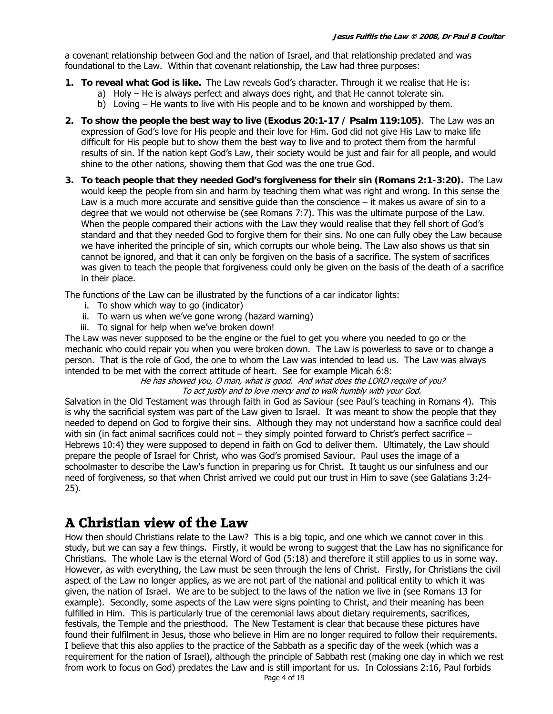a covenant relationship between God and the nation of Israel, and that relationship predated and was foundational to the Law. Within that covenant relationship, the Law had three purposes:

- **1. To reveal what God is like.** The Law reveals God's character. Through it we realise that He is:
	- a) Holy He is always perfect and always does right, and that He cannot tolerate sin.
	- b) Loving He wants to live with His people and to be known and worshipped by them.
- **2. To show the people the best way to live (Exodus 20:1-17 / Psalm 119:105)**. The Law was an expression of God's love for His people and their love for Him. God did not give His Law to make life difficult for His people but to show them the best way to live and to protect them from the harmful results of sin. If the nation kept God's Law, their society would be just and fair for all people, and would shine to the other nations, showing them that God was the one true God.
- **3. To teach people that they needed God's forgiveness for their sin (Romans 2:1-3:20).** The Law would keep the people from sin and harm by teaching them what was right and wrong. In this sense the Law is a much more accurate and sensitive guide than the conscience – it makes us aware of sin to a degree that we would not otherwise be (see Romans 7:7). This was the ultimate purpose of the Law. When the people compared their actions with the Law they would realise that they fell short of God's standard and that they needed God to forgive them for their sins. No one can fully obey the Law because we have inherited the principle of sin, which corrupts our whole being. The Law also shows us that sin cannot be ignored, and that it can only be forgiven on the basis of a sacrifice. The system of sacrifices was given to teach the people that forgiveness could only be given on the basis of the death of a sacrifice in their place.

The functions of the Law can be illustrated by the functions of a car indicator lights:

- i. To show which way to go (indicator)
- ii. To warn us when we've gone wrong (hazard warning)
- iii. To signal for help when we've broken down!

The Law was never supposed to be the engine or the fuel to get you where you needed to go or the mechanic who could repair you when you were broken down. The Law is powerless to save or to change a person. That is the role of God, the one to whom the Law was intended to lead us. The Law was always intended to be met with the correct attitude of heart. See for example Micah 6:8:

He has showed you, O man, what is good. And what does the LORD require of you? To act justly and to love mercy and to walk humbly with your God.

Salvation in the Old Testament was through faith in God as Saviour (see Paul's teaching in Romans 4). This is why the sacrificial system was part of the Law given to Israel. It was meant to show the people that they needed to depend on God to forgive their sins. Although they may not understand how a sacrifice could deal with sin (in fact animal sacrifices could not – they simply pointed forward to Christ's perfect sacrifice – Hebrews 10:4) they were supposed to depend in faith on God to deliver them. Ultimately, the Law should prepare the people of Israel for Christ, who was God's promised Saviour. Paul uses the image of a schoolmaster to describe the Law's function in preparing us for Christ. It taught us our sinfulness and our need of forgiveness, so that when Christ arrived we could put our trust in Him to save (see Galatians 3:24- 25).

## **A Christian view of the Law**

How then should Christians relate to the Law? This is a big topic, and one which we cannot cover in this study, but we can say a few things. Firstly, it would be wrong to suggest that the Law has no significance for Christians. The whole Law is the eternal Word of God (5:18) and therefore it still applies to us in some way. However, as with everything, the Law must be seen through the lens of Christ. Firstly, for Christians the civil aspect of the Law no longer applies, as we are not part of the national and political entity to which it was given, the nation of Israel. We are to be subject to the laws of the nation we live in (see Romans 13 for example). Secondly, some aspects of the Law were signs pointing to Christ, and their meaning has been fulfilled in Him. This is particularly true of the ceremonial laws about dietary requirements, sacrifices, festivals, the Temple and the priesthood. The New Testament is clear that because these pictures have found their fulfilment in Jesus, those who believe in Him are no longer required to follow their requirements. I believe that this also applies to the practice of the Sabbath as a specific day of the week (which was a requirement for the nation of Israel), although the principle of Sabbath rest (making one day in which we rest from work to focus on God) predates the Law and is still important for us. In Colossians 2:16, Paul forbids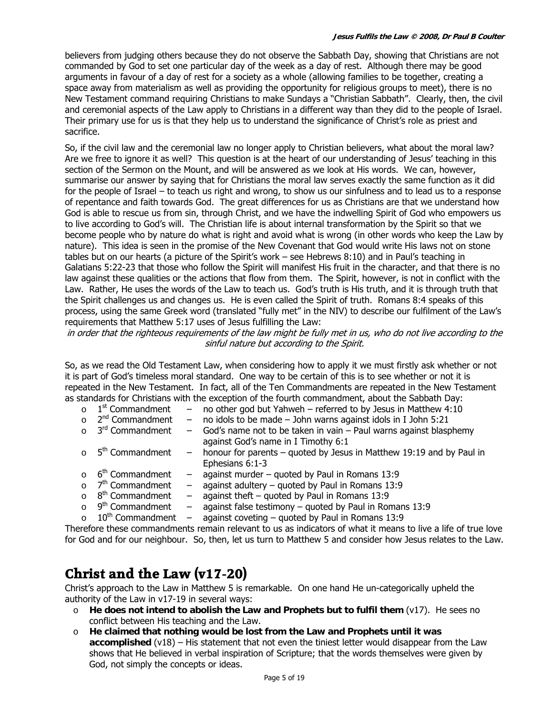believers from judging others because they do not observe the Sabbath Day, showing that Christians are not commanded by God to set one particular day of the week as a day of rest. Although there may be good arguments in favour of a day of rest for a society as a whole (allowing families to be together, creating a space away from materialism as well as providing the opportunity for religious groups to meet), there is no New Testament command requiring Christians to make Sundays a "Christian Sabbath". Clearly, then, the civil and ceremonial aspects of the Law apply to Christians in a different way than they did to the people of Israel. Their primary use for us is that they help us to understand the significance of Christ's role as priest and sacrifice.

So, if the civil law and the ceremonial law no longer apply to Christian believers, what about the moral law? Are we free to ignore it as well? This question is at the heart of our understanding of Jesus' teaching in this section of the Sermon on the Mount, and will be answered as we look at His words. We can, however, summarise our answer by saying that for Christians the moral law serves exactly the same function as it did for the people of Israel – to teach us right and wrong, to show us our sinfulness and to lead us to a response of repentance and faith towards God. The great differences for us as Christians are that we understand how God is able to rescue us from sin, through Christ, and we have the indwelling Spirit of God who empowers us to live according to God's will. The Christian life is about internal transformation by the Spirit so that we become people who by nature do what is right and avoid what is wrong (in other words who keep the Law by nature). This idea is seen in the promise of the New Covenant that God would write His laws not on stone tables but on our hearts (a picture of the Spirit's work – see Hebrews 8:10) and in Paul's teaching in Galatians 5:22-23 that those who follow the Spirit will manifest His fruit in the character, and that there is no law against these qualities or the actions that flow from them. The Spirit, however, is not in conflict with the Law. Rather, He uses the words of the Law to teach us. God's truth is His truth, and it is through truth that the Spirit challenges us and changes us. He is even called the Spirit of truth. Romans 8:4 speaks of this process, using the same Greek word (translated "fully met" in the NIV) to describe our fulfilment of the Law's requirements that Matthew 5:17 uses of Jesus fulfilling the Law:

in order that the righteous requirements of the law might be fully met in us, who do not live according to the sinful nature but according to the Spirit.

So, as we read the Old Testament Law, when considering how to apply it we must firstly ask whether or not it is part of God's timeless moral standard. One way to be certain of this is to see whether or not it is repeated in the New Testament. In fact, all of the Ten Commandments are repeated in the New Testament as standards for Christians with the exception of the fourth commandment, about the Sabbath Day:

| $\circ$  | 1 <sup>st</sup> Commandment         | $-$                      | no other god but Yahweh - referred to by Jesus in Matthew 4:10       |
|----------|-------------------------------------|--------------------------|----------------------------------------------------------------------|
| $\Omega$ | 2 <sup>nd</sup> Commandment         | $ \,$                    | no idols to be made - John warns against idols in I John 5:21        |
|          | o 3 <sup>rd</sup> Commandment       | $-$                      | God's name not to be taken in vain - Paul warns against blasphemy    |
|          |                                     |                          | against God's name in I Timothy 6:1                                  |
|          | o 5 <sup>th</sup> Commandment       | $-$                      | honour for parents - quoted by Jesus in Matthew 19:19 and by Paul in |
|          |                                     |                          | Ephesians 6:1-3                                                      |
|          | o 6 <sup>th</sup> Commandment       | $\qquad \qquad -$        | against murder - quoted by Paul in Romans 13:9                       |
|          | o 7 <sup>th</sup> Commandment       |                          | against adultery $-$ quoted by Paul in Romans 13:9                   |
|          | $\circ$ 8 <sup>th</sup> Commandment | $\overline{\phantom{0}}$ | against theft $-$ quoted by Paul in Romans 13:9                      |
|          | o 9 <sup>th</sup> Commandment       |                          | against false testimony $-$ quoted by Paul in Romans 13:9            |

 $\circ$  10<sup>th</sup> Commandment – against coveting – quoted by Paul in Romans 13:9

Therefore these commandments remain relevant to us as indicators of what it means to live a life of true love for God and for our neighbour. So, then, let us turn to Matthew 5 and consider how Jesus relates to the Law.

## **Christ and the Law (v17-20)**

Christ's approach to the Law in Matthew 5 is remarkable. On one hand He un-categorically upheld the authority of the Law in v17-19 in several ways:

- o **He does not intend to abolish the Law and Prophets but to fulfil them** (v17). He sees no conflict between His teaching and the Law.
- o **He claimed that nothing would be lost from the Law and Prophets until it was accomplished** (v18) – His statement that not even the tiniest letter would disappear from the Law shows that He believed in verbal inspiration of Scripture; that the words themselves were given by God, not simply the concepts or ideas.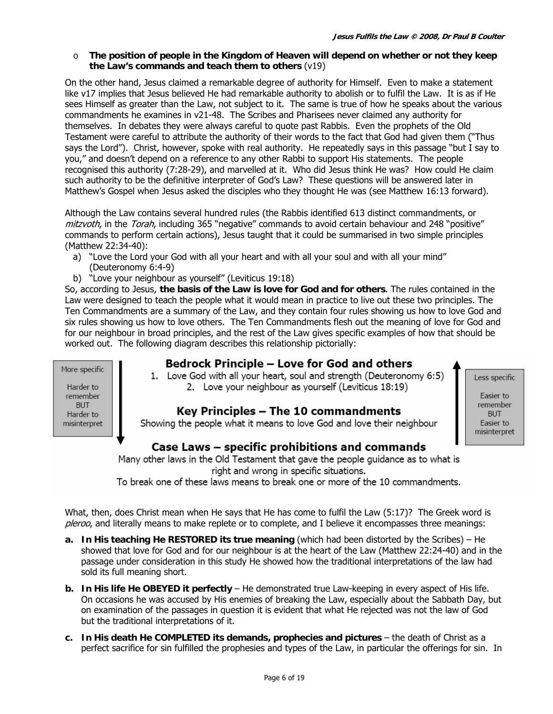#### o **The position of people in the Kingdom of Heaven will depend on whether or not they keep the Law's commands and teach them to others** (v19)

On the other hand, Jesus claimed a remarkable degree of authority for Himself. Even to make a statement like v17 implies that Jesus believed He had remarkable authority to abolish or to fulfil the Law. It is as if He sees Himself as greater than the Law, not subject to it. The same is true of how he speaks about the various commandments he examines in v21-48. The Scribes and Pharisees never claimed any authority for themselves. In debates they were always careful to quote past Rabbis. Even the prophets of the Old Testament were careful to attribute the authority of their words to the fact that God had given them ("Thus says the Lord"). Christ, however, spoke with real authority. He repeatedly says in this passage "but I say to you," and doesn't depend on a reference to any other Rabbi to support His statements. The people recognised this authority (7:28-29), and marvelled at it. Who did Jesus think He was? How could He claim such authority to be the definitive interpreter of God's Law? These questions will be answered later in Matthew's Gospel when Jesus asked the disciples who they thought He was (see Matthew 16:13 forward).

Although the Law contains several hundred rules (the Rabbis identified 613 distinct commandments, or mitzvoth, in the Torah, including 365 "negative" commands to avoid certain behaviour and 248 "positive" commands to perform certain actions), Jesus taught that it could be summarised in two simple principles (Matthew 22:34-40):

- a) "Love the Lord your God with all your heart and with all your soul and with all your mind" (Deuteronomy 6:4-9)
- b) "Love your neighbour as yourself" (Leviticus 19:18)

So, according to Jesus, **the basis of the Law is love for God and for others**. The rules contained in the Law were designed to teach the people what it would mean in practice to live out these two principles. The Ten Commandments are a summary of the Law, and they contain four rules showing us how to love God and six rules showing us how to love others. The Ten Commandments flesh out the meaning of love for God and for our neighbour in broad principles, and the rest of the Law gives specific examples of how that should be worked out. The following diagram describes this relationship pictorially:

More specific

### Bedrock Principle – Love for God and others

1. Love God with all your heart, soul and strength (Deuteronomy 6:5) 2. Love your neighbour as yourself (Leviticus 18:19)

### Key Principles - The 10 commandments

Showing the people what it means to love God and love their neighbour

### Case Laws – specific prohibitions and commands

Many other laws in the Old Testament that gave the people guidance as to what is right and wrong in specific situations.

To break one of these laws means to break one or more of the 10 commandments.

What, then, does Christ mean when He says that He has come to fulfil the Law (5:17)? The Greek word is pleroo, and literally means to make replete or to complete, and I believe it encompasses three meanings:

- **a. In His teaching He RESTORED its true meaning** (which had been distorted by the Scribes) He showed that love for God and for our neighbour is at the heart of the Law (Matthew 22:24-40) and in the passage under consideration in this study He showed how the traditional interpretations of the law had sold its full meaning short.
- **b. In His life He OBEYED it perfectly** He demonstrated true Law-keeping in every aspect of His life. On occasions he was accused by His enemies of breaking the Law, especially about the Sabbath Day, but on examination of the passages in question it is evident that what He rejected was not the law of God but the traditional interpretations of it.
- **c. In His death He COMPLETED its demands, prophecies and pictures** the death of Christ as a perfect sacrifice for sin fulfilled the prophesies and types of the Law, in particular the offerings for sin. In

Harder to remember **BUT** Harder to misinterpret Less specific

Easier to remember **BUT** Easier to misinterpret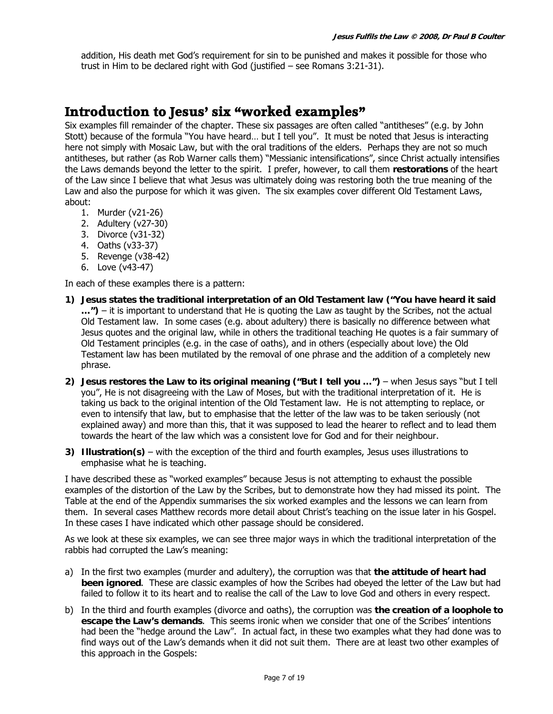addition, His death met God's requirement for sin to be punished and makes it possible for those who trust in Him to be declared right with God (justified – see Romans 3:21-31).

### **Introduction to Jesus' six "worked examples"**

Six examples fill remainder of the chapter. These six passages are often called "antitheses" (e.g. by John Stott) because of the formula "You have heard… but I tell you". It must be noted that Jesus is interacting here not simply with Mosaic Law, but with the oral traditions of the elders. Perhaps they are not so much antitheses, but rather (as Rob Warner calls them) "Messianic intensifications", since Christ actually intensifies the Laws demands beyond the letter to the spirit. I prefer, however, to call them **restorations** of the heart of the Law since I believe that what Jesus was ultimately doing was restoring both the true meaning of the Law and also the purpose for which it was given. The six examples cover different Old Testament Laws, about:

- 1. Murder (v21-26)
- 2. Adultery (v27-30)
- 3. Divorce (v31-32)
- 4. Oaths (v33-37)
- 5. Revenge (v38-42)
- 6. Love (v43-47)

In each of these examples there is a pattern:

- **1) Jesus states the traditional interpretation of an Old Testament law ("You have heard it said …")** – it is important to understand that He is quoting the Law as taught by the Scribes, not the actual Old Testament law. In some cases (e.g. about adultery) there is basically no difference between what Jesus quotes and the original law, while in others the traditional teaching He quotes is a fair summary of Old Testament principles (e.g. in the case of oaths), and in others (especially about love) the Old Testament law has been mutilated by the removal of one phrase and the addition of a completely new phrase.
- **2) Jesus restores the Law to its original meaning ("But I tell you …")** when Jesus says "but I tell you", He is not disagreeing with the Law of Moses, but with the traditional interpretation of it. He is taking us back to the original intention of the Old Testament law. He is not attempting to replace, or even to intensify that law, but to emphasise that the letter of the law was to be taken seriously (not explained away) and more than this, that it was supposed to lead the hearer to reflect and to lead them towards the heart of the law which was a consistent love for God and for their neighbour.
- **3) Illustration(s)** with the exception of the third and fourth examples, Jesus uses illustrations to emphasise what he is teaching.

I have described these as "worked examples" because Jesus is not attempting to exhaust the possible examples of the distortion of the Law by the Scribes, but to demonstrate how they had missed its point. The Table at the end of the Appendix summarises the six worked examples and the lessons we can learn from them. In several cases Matthew records more detail about Christ's teaching on the issue later in his Gospel. In these cases I have indicated which other passage should be considered.

As we look at these six examples, we can see three major ways in which the traditional interpretation of the rabbis had corrupted the Law's meaning:

- a) In the first two examples (murder and adultery), the corruption was that **the attitude of heart had been ignored**. These are classic examples of how the Scribes had obeyed the letter of the Law but had failed to follow it to its heart and to realise the call of the Law to love God and others in every respect.
- b) In the third and fourth examples (divorce and oaths), the corruption was **the creation of a loophole to escape the Law's demands**. This seems ironic when we consider that one of the Scribes' intentions had been the "hedge around the Law". In actual fact, in these two examples what they had done was to find ways out of the Law's demands when it did not suit them. There are at least two other examples of this approach in the Gospels: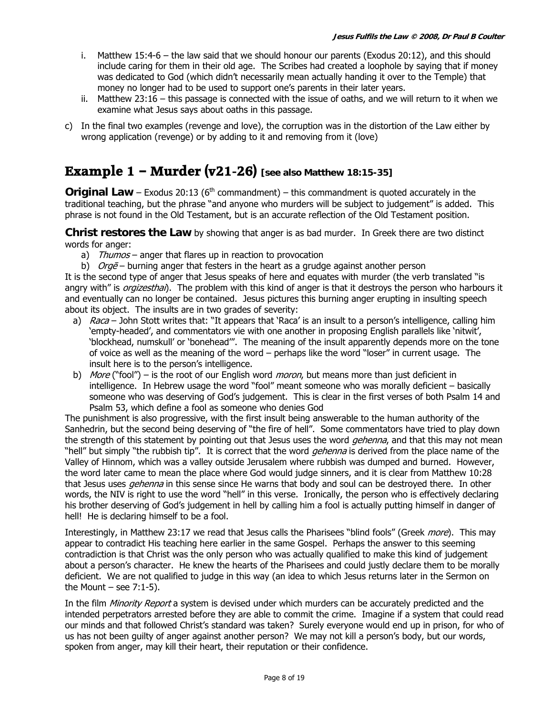- i. Matthew 15:4-6 the law said that we should honour our parents (Exodus 20:12), and this should include caring for them in their old age. The Scribes had created a loophole by saying that if money was dedicated to God (which didn't necessarily mean actually handing it over to the Temple) that money no longer had to be used to support one's parents in their later years.
- ii. Matthew 23:16 this passage is connected with the issue of oaths, and we will return to it when we examine what Jesus says about oaths in this passage.
- c) In the final two examples (revenge and love), the corruption was in the distortion of the Law either by wrong application (revenge) or by adding to it and removing from it (love)

### **Example 1 – Murder (v21-26) [see also Matthew 18:15-35]**

**Original Law** – Exodus 20:13 ( $6<sup>th</sup>$  commandment) – this commandment is quoted accurately in the traditional teaching, but the phrase "and anyone who murders will be subject to judgement" is added. This phrase is not found in the Old Testament, but is an accurate reflection of the Old Testament position.

**Christ restores the Law** by showing that anger is as bad murder. In Greek there are two distinct words for anger:

- a) Thumos anger that flares up in reaction to provocation
- b)  $O \nmid \text{O} \nmid \text{O} \nmid$  burning anger that festers in the heart as a grudge against another person

It is the second type of anger that Jesus speaks of here and equates with murder (the verb translated "is angry with" is *orgizesthai*). The problem with this kind of anger is that it destroys the person who harbours it and eventually can no longer be contained. Jesus pictures this burning anger erupting in insulting speech about its object. The insults are in two grades of severity:

- a) Raca John Stott writes that: "It appears that 'Raca' is an insult to a person's intelligence, calling him 'empty-headed', and commentators vie with one another in proposing English parallels like 'nitwit', 'blockhead, numskull' or 'bonehead'". The meaning of the insult apparently depends more on the tone of voice as well as the meaning of the word – perhaps like the word "loser" in current usage. The insult here is to the person's intelligence.
- b) More ("fool") is the root of our English word *moron*, but means more than just deficient in intelligence. In Hebrew usage the word "fool" meant someone who was morally deficient – basically someone who was deserving of God's judgement. This is clear in the first verses of both Psalm 14 and Psalm 53, which define a fool as someone who denies God

The punishment is also progressive, with the first insult being answerable to the human authority of the Sanhedrin, but the second being deserving of "the fire of hell". Some commentators have tried to play down the strength of this statement by pointing out that Jesus uses the word *gehenna*, and that this may not mean "hell" but simply "the rubbish tip". It is correct that the word *gehenna* is derived from the place name of the Valley of Hinnom, which was a valley outside Jerusalem where rubbish was dumped and burned. However, the word later came to mean the place where God would judge sinners, and it is clear from Matthew 10:28 that Jesus uses *gehenna* in this sense since He warns that body and soul can be destroyed there. In other words, the NIV is right to use the word "hell" in this verse. Ironically, the person who is effectively declaring his brother deserving of God's judgement in hell by calling him a fool is actually putting himself in danger of hell! He is declaring himself to be a fool.

Interestingly, in Matthew 23:17 we read that Jesus calls the Pharisees "blind fools" (Greek *more*). This may appear to contradict His teaching here earlier in the same Gospel. Perhaps the answer to this seeming contradiction is that Christ was the only person who was actually qualified to make this kind of judgement about a person's character. He knew the hearts of the Pharisees and could justly declare them to be morally deficient. We are not qualified to judge in this way (an idea to which Jesus returns later in the Sermon on the Mount – see  $7:1-5$ ).

In the film *Minority Report* a system is devised under which murders can be accurately predicted and the intended perpetrators arrested before they are able to commit the crime. Imagine if a system that could read our minds and that followed Christ's standard was taken? Surely everyone would end up in prison, for who of us has not been guilty of anger against another person? We may not kill a person's body, but our words, spoken from anger, may kill their heart, their reputation or their confidence.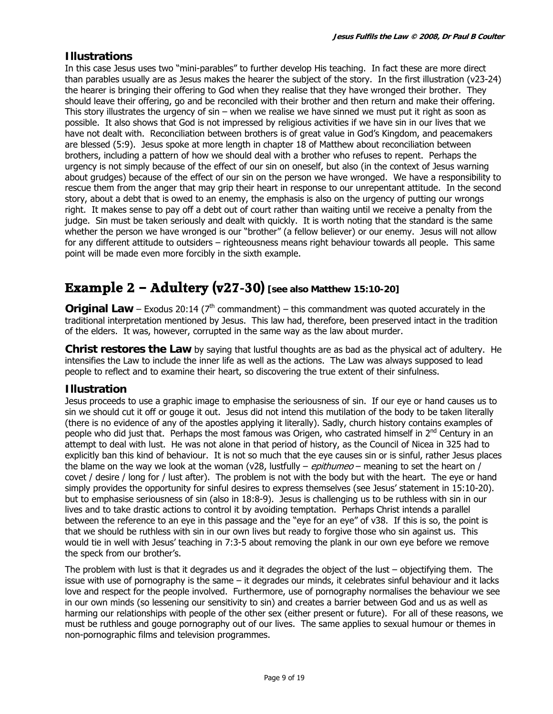#### **Illustrations**

In this case Jesus uses two "mini-parables" to further develop His teaching. In fact these are more direct than parables usually are as Jesus makes the hearer the subject of the story. In the first illustration (v23-24) the hearer is bringing their offering to God when they realise that they have wronged their brother. They should leave their offering, go and be reconciled with their brother and then return and make their offering. This story illustrates the urgency of sin – when we realise we have sinned we must put it right as soon as possible. It also shows that God is not impressed by religious activities if we have sin in our lives that we have not dealt with. Reconciliation between brothers is of great value in God's Kingdom, and peacemakers are blessed (5:9). Jesus spoke at more length in chapter 18 of Matthew about reconciliation between brothers, including a pattern of how we should deal with a brother who refuses to repent. Perhaps the urgency is not simply because of the effect of our sin on oneself, but also (in the context of Jesus warning about grudges) because of the effect of our sin on the person we have wronged. We have a responsibility to rescue them from the anger that may grip their heart in response to our unrepentant attitude. In the second story, about a debt that is owed to an enemy, the emphasis is also on the urgency of putting our wrongs right. It makes sense to pay off a debt out of court rather than waiting until we receive a penalty from the judge. Sin must be taken seriously and dealt with quickly. It is worth noting that the standard is the same whether the person we have wronged is our "brother" (a fellow believer) or our enemy. Jesus will not allow for any different attitude to outsiders – righteousness means right behaviour towards all people. This same point will be made even more forcibly in the sixth example.

### **Example 2 – Adultery (v27-30) [see also Matthew 15:10-20]**

**Original Law** – Exodus 20:14 ( $7<sup>th</sup>$  commandment) – this commandment was quoted accurately in the traditional interpretation mentioned by Jesus. This law had, therefore, been preserved intact in the tradition of the elders. It was, however, corrupted in the same way as the law about murder.

**Christ restores the Law** by saying that lustful thoughts are as bad as the physical act of adultery. He intensifies the Law to include the inner life as well as the actions. The Law was always supposed to lead people to reflect and to examine their heart, so discovering the true extent of their sinfulness.

#### **Illustration**

Jesus proceeds to use a graphic image to emphasise the seriousness of sin. If our eye or hand causes us to sin we should cut it off or gouge it out. Jesus did not intend this mutilation of the body to be taken literally (there is no evidence of any of the apostles applying it literally). Sadly, church history contains examples of people who did just that. Perhaps the most famous was Origen, who castrated himself in 2<sup>nd</sup> Century in an attempt to deal with lust. He was not alone in that period of history, as the Council of Nicea in 325 had to explicitly ban this kind of behaviour. It is not so much that the eye causes sin or is sinful, rather Jesus places the blame on the way we look at the woman (v28, lustfully – epithumeo – meaning to set the heart on  $/$ covet / desire / long for / lust after). The problem is not with the body but with the heart. The eye or hand simply provides the opportunity for sinful desires to express themselves (see Jesus' statement in 15:10-20). but to emphasise seriousness of sin (also in 18:8-9). Jesus is challenging us to be ruthless with sin in our lives and to take drastic actions to control it by avoiding temptation. Perhaps Christ intends a parallel between the reference to an eye in this passage and the "eye for an eye" of v38. If this is so, the point is that we should be ruthless with sin in our own lives but ready to forgive those who sin against us. This would tie in well with Jesus' teaching in 7:3-5 about removing the plank in our own eye before we remove the speck from our brother's.

The problem with lust is that it degrades us and it degrades the object of the lust – objectifying them. The issue with use of pornography is the same – it degrades our minds, it celebrates sinful behaviour and it lacks love and respect for the people involved. Furthermore, use of pornography normalises the behaviour we see in our own minds (so lessening our sensitivity to sin) and creates a barrier between God and us as well as harming our relationships with people of the other sex (either present or future). For all of these reasons, we must be ruthless and gouge pornography out of our lives. The same applies to sexual humour or themes in non-pornographic films and television programmes.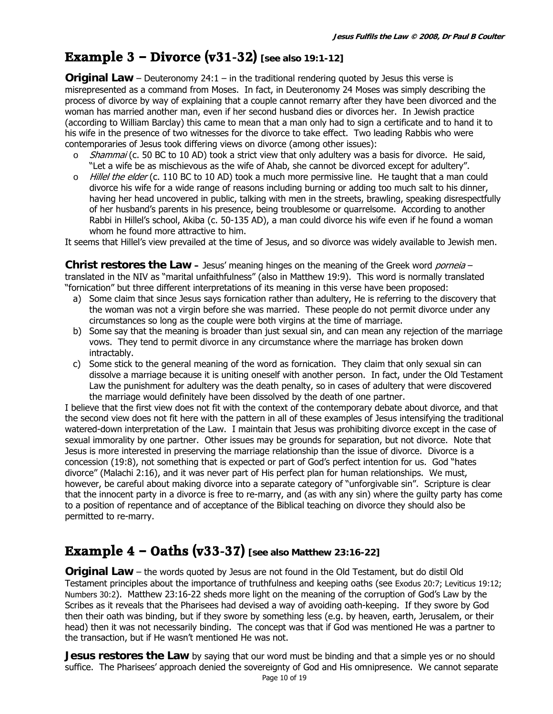## **Example 3 – Divorce (v31-32) [see also 19:1-12]**

**Original Law** – Deuteronomy 24:1 – in the traditional rendering quoted by Jesus this verse is misrepresented as a command from Moses. In fact, in Deuteronomy 24 Moses was simply describing the process of divorce by way of explaining that a couple cannot remarry after they have been divorced and the woman has married another man, even if her second husband dies or divorces her. In Jewish practice (according to William Barclay) this came to mean that a man only had to sign a certificate and to hand it to his wife in the presence of two witnesses for the divorce to take effect. Two leading Rabbis who were contemporaries of Jesus took differing views on divorce (among other issues):

- $\circ$  Shammai (c. 50 BC to 10 AD) took a strict view that only adultery was a basis for divorce. He said, "Let a wife be as mischievous as the wife of Ahab, she cannot be divorced except for adultery".
- $\circ$  Hillel the elder (c. 110 BC to 10 AD) took a much more permissive line. He taught that a man could divorce his wife for a wide range of reasons including burning or adding too much salt to his dinner, having her head uncovered in public, talking with men in the streets, brawling, speaking disrespectfully of her husband's parents in his presence, being troublesome or quarrelsome. According to another Rabbi in Hillel's school, Akiba (c. 50-135 AD), a man could divorce his wife even if he found a woman whom he found more attractive to him.

It seems that Hillel's view prevailed at the time of Jesus, and so divorce was widely available to Jewish men.

**Christ restores the Law –** Jesus' meaning hinges on the meaning of the Greek word *porneia* – translated in the NIV as "marital unfaithfulness" (also in Matthew 19:9). This word is normally translated "fornication" but three different interpretations of its meaning in this verse have been proposed:

- a) Some claim that since Jesus says fornication rather than adultery, He is referring to the discovery that the woman was not a virgin before she was married. These people do not permit divorce under any circumstances so long as the couple were both virgins at the time of marriage.
- b) Some say that the meaning is broader than just sexual sin, and can mean any rejection of the marriage vows. They tend to permit divorce in any circumstance where the marriage has broken down intractably.
- c) Some stick to the general meaning of the word as fornication. They claim that only sexual sin can dissolve a marriage because it is uniting oneself with another person. In fact, under the Old Testament Law the punishment for adultery was the death penalty, so in cases of adultery that were discovered the marriage would definitely have been dissolved by the death of one partner.

I believe that the first view does not fit with the context of the contemporary debate about divorce, and that the second view does not fit here with the pattern in all of these examples of Jesus intensifying the traditional watered-down interpretation of the Law. I maintain that Jesus was prohibiting divorce except in the case of sexual immorality by one partner. Other issues may be grounds for separation, but not divorce. Note that Jesus is more interested in preserving the marriage relationship than the issue of divorce. Divorce is a concession (19:8), not something that is expected or part of God's perfect intention for us. God "hates divorce" (Malachi 2:16), and it was never part of His perfect plan for human relationships. We must, however, be careful about making divorce into a separate category of "unforgivable sin". Scripture is clear that the innocent party in a divorce is free to re-marry, and (as with any sin) where the guilty party has come to a position of repentance and of acceptance of the Biblical teaching on divorce they should also be permitted to re-marry.

## **Example 4 – Oaths (v33-37) [see also Matthew 23:16-22]**

**Original Law** – the words quoted by Jesus are not found in the Old Testament, but do distil Old Testament principles about the importance of truthfulness and keeping oaths (see Exodus 20:7; Leviticus 19:12; Numbers 30:2). Matthew 23:16-22 sheds more light on the meaning of the corruption of God's Law by the Scribes as it reveals that the Pharisees had devised a way of avoiding oath-keeping. If they swore by God then their oath was binding, but if they swore by something less (e.g. by heaven, earth, Jerusalem, or their head) then it was not necessarily binding. The concept was that if God was mentioned He was a partner to the transaction, but if He wasn't mentioned He was not.

Page 10 of 19 **Jesus restores the Law** by saying that our word must be binding and that a simple yes or no should suffice. The Pharisees' approach denied the sovereignty of God and His omnipresence. We cannot separate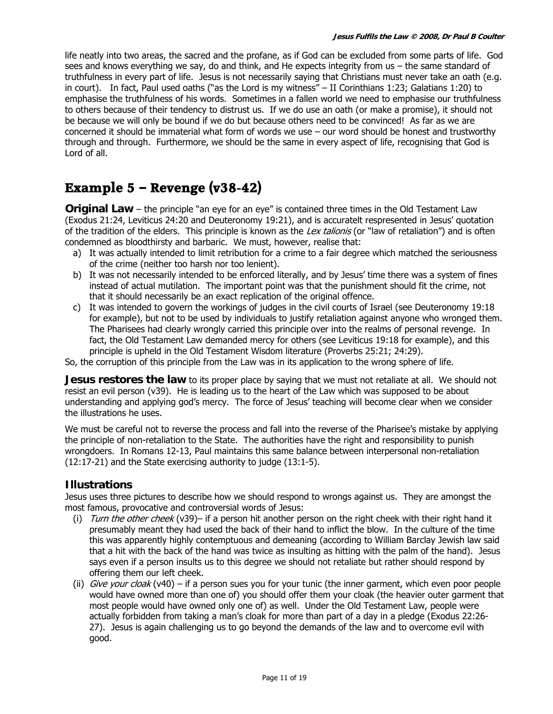life neatly into two areas, the sacred and the profane, as if God can be excluded from some parts of life. God sees and knows everything we say, do and think, and He expects integrity from us – the same standard of truthfulness in every part of life. Jesus is not necessarily saying that Christians must never take an oath (e.g. in court). In fact, Paul used oaths ("as the Lord is my witness" – II Corinthians 1:23; Galatians 1:20) to emphasise the truthfulness of his words. Sometimes in a fallen world we need to emphasise our truthfulness to others because of their tendency to distrust us. If we do use an oath (or make a promise), it should not be because we will only be bound if we do but because others need to be convinced! As far as we are concerned it should be immaterial what form of words we use – our word should be honest and trustworthy through and through. Furthermore, we should be the same in every aspect of life, recognising that God is Lord of all.

## **Example 5 – Revenge (v38-42)**

**Original Law** – the principle "an eye for an eye" is contained three times in the Old Testament Law (Exodus 21:24, Leviticus 24:20 and Deuteronomy 19:21), and is accuratelt respresented in Jesus' quotation of the tradition of the elders. This principle is known as the Lex talionis (or "law of retaliation") and is often condemned as bloodthirsty and barbaric. We must, however, realise that:

- a) It was actually intended to limit retribution for a crime to a fair degree which matched the seriousness of the crime (neither too harsh nor too lenient).
- b) It was not necessarily intended to be enforced literally, and by Jesus' time there was a system of fines instead of actual mutilation. The important point was that the punishment should fit the crime, not that it should necessarily be an exact replication of the original offence.
- c) It was intended to govern the workings of judges in the civil courts of Israel (see Deuteronomy 19:18 for example), but not to be used by individuals to justify retaliation against anyone who wronged them. The Pharisees had clearly wrongly carried this principle over into the realms of personal revenge. In fact, the Old Testament Law demanded mercy for others (see Leviticus 19:18 for example), and this principle is upheld in the Old Testament Wisdom literature (Proverbs 25:21; 24:29).

So, the corruption of this principle from the Law was in its application to the wrong sphere of life.

**Jesus restores the law** to its proper place by saying that we must not retaliate at all. We should not resist an evil person (v39). He is leading us to the heart of the Law which was supposed to be about understanding and applying god's mercy. The force of Jesus' teaching will become clear when we consider the illustrations he uses.

We must be careful not to reverse the process and fall into the reverse of the Pharisee's mistake by applying the principle of non-retaliation to the State. The authorities have the right and responsibility to punish wrongdoers. In Romans 12-13, Paul maintains this same balance between interpersonal non-retaliation (12:17-21) and the State exercising authority to judge (13:1-5).

#### **Illustrations**

Jesus uses three pictures to describe how we should respond to wrongs against us. They are amongst the most famous, provocative and controversial words of Jesus:

- (i) Turn the other cheek (v39)– if a person hit another person on the right cheek with their right hand it presumably meant they had used the back of their hand to inflict the blow. In the culture of the time this was apparently highly contemptuous and demeaning (according to William Barclay Jewish law said that a hit with the back of the hand was twice as insulting as hitting with the palm of the hand). Jesus says even if a person insults us to this degree we should not retaliate but rather should respond by offering them our left cheek.
- (ii) Give your cloak (v40) if a person sues you for your tunic (the inner garment, which even poor people would have owned more than one of) you should offer them your cloak (the heavier outer garment that most people would have owned only one of) as well. Under the Old Testament Law, people were actually forbidden from taking a man's cloak for more than part of a day in a pledge (Exodus 22:26- 27). Jesus is again challenging us to go beyond the demands of the law and to overcome evil with good.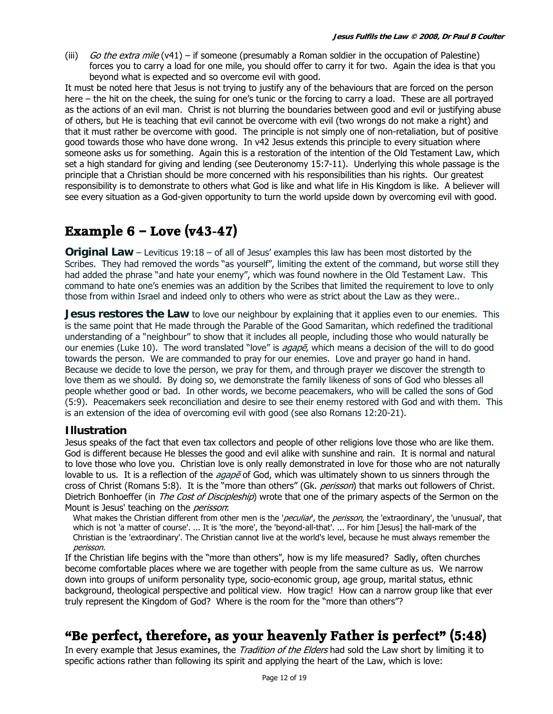(iii) Go the extra mile (v41) – if someone (presumably a Roman soldier in the occupation of Palestine) forces you to carry a load for one mile, you should offer to carry it for two. Again the idea is that you beyond what is expected and so overcome evil with good.

It must be noted here that Jesus is not trying to justify any of the behaviours that are forced on the person here – the hit on the cheek, the suing for one's tunic or the forcing to carry a load. These are all portrayed as the actions of an evil man. Christ is not blurring the boundaries between good and evil or justifying abuse of others, but He is teaching that evil cannot be overcome with evil (two wrongs do not make a right) and that it must rather be overcome with good. The principle is not simply one of non-retaliation, but of positive good towards those who have done wrong. In v42 Jesus extends this principle to every situation where someone asks us for something. Again this is a restoration of the intention of the Old Testament Law, which set a high standard for giving and lending (see Deuteronomy 15:7-11). Underlying this whole passage is the principle that a Christian should be more concerned with his responsibilities than his rights. Our greatest responsibility is to demonstrate to others what God is like and what life in His Kingdom is like. A believer will see every situation as a God-given opportunity to turn the world upside down by overcoming evil with good.

## **Example 6 – Love (v43-47)**

**Original Law** – Leviticus 19:18 – of all of Jesus' examples this law has been most distorted by the Scribes. They had removed the words "as yourself", limiting the extent of the command, but worse still they had added the phrase "and hate your enemy", which was found nowhere in the Old Testament Law. This command to hate one's enemies was an addition by the Scribes that limited the requirement to love to only those from within Israel and indeed only to others who were as strict about the Law as they were..

**Jesus restores the Law** to love our neighbour by explaining that it applies even to our enemies. This is the same point that He made through the Parable of the Good Samaritan, which redefined the traditional understanding of a "neighbour" to show that it includes all people, including those who would naturally be our enemies (Luke 10). The word translated "love" is *agape*, which means a decision of the will to do good towards the person. We are commanded to pray for our enemies. Love and prayer go hand in hand. Because we decide to love the person, we pray for them, and through prayer we discover the strength to love them as we should. By doing so, we demonstrate the family likeness of sons of God who blesses all people whether good or bad. In other words, we become peacemakers, who will be called the sons of God (5:9). Peacemakers seek reconciliation and desire to see their enemy restored with God and with them. This is an extension of the idea of overcoming evil with good (see also Romans 12:20-21).

#### **Illustration**

Jesus speaks of the fact that even tax collectors and people of other religions love those who are like them. God is different because He blesses the good and evil alike with sunshine and rain. It is normal and natural to love those who love you. Christian love is only really demonstrated in love for those who are not naturally lovable to us. It is a reflection of the *agape* of God, which was ultimately shown to us sinners through the cross of Christ (Romans 5:8). It is the "more than others" (Gk. perisson) that marks out followers of Christ. Dietrich Bonhoeffer (in *The Cost of Discipleship*) wrote that one of the primary aspects of the Sermon on the Mount is Jesus' teaching on the *perisson*:

What makes the Christian different from other men is the '*peculiar*', the *perisson*, the 'extraordinary', the 'unusual', that which is not 'a matter of course'. ... It is 'the more', the 'beyond-all-that'. ... For him [Jesus] the hall-mark of the Christian is the 'extraordinary'. The Christian cannot live at the world's level, because he must always remember the perisson.

If the Christian life begins with the "more than others", how is my life measured? Sadly, often churches become comfortable places where we are together with people from the same culture as us. We narrow down into groups of uniform personality type, socio-economic group, age group, marital status, ethnic background, theological perspective and political view. How tragic! How can a narrow group like that ever truly represent the Kingdom of God? Where is the room for the "more than others"?

## **"Be perfect, therefore, as your heavenly Father is perfect" (5:48)**

In every example that Jesus examines, the *Tradition of the Elders* had sold the Law short by limiting it to specific actions rather than following its spirit and applying the heart of the Law, which is love: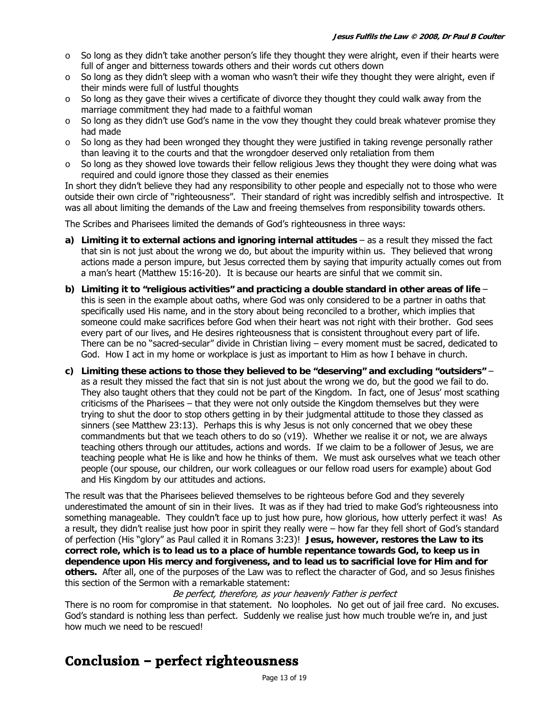- $\circ$  So long as they didn't take another person's life they thought they were alright, even if their hearts were full of anger and bitterness towards others and their words cut others down
- $\circ$  So long as they didn't sleep with a woman who wasn't their wife they thought they were alright, even if their minds were full of lustful thoughts
- So long as they gave their wives a certificate of divorce they thought they could walk away from the marriage commitment they had made to a faithful woman
- So long as they didn't use God's name in the vow they thought they could break whatever promise they had made
- $\circ$  So long as they had been wronged they thought they were justified in taking revenge personally rather than leaving it to the courts and that the wrongdoer deserved only retaliation from them
- $\circ$  So long as they showed love towards their fellow religious Jews they thought they were doing what was required and could ignore those they classed as their enemies

In short they didn't believe they had any responsibility to other people and especially not to those who were outside their own circle of "righteousness". Their standard of right was incredibly selfish and introspective. It was all about limiting the demands of the Law and freeing themselves from responsibility towards others.

The Scribes and Pharisees limited the demands of God's righteousness in three ways:

- **a) Limiting it to external actions and ignoring internal attitudes** as a result they missed the fact that sin is not just about the wrong we do, but about the impurity within us. They believed that wrong actions made a person impure, but Jesus corrected them by saying that impurity actually comes out from a man's heart (Matthew 15:16-20). It is because our hearts are sinful that we commit sin.
- **b) Limiting it to "religious activities" and practicing a double standard in other areas of life** this is seen in the example about oaths, where God was only considered to be a partner in oaths that specifically used His name, and in the story about being reconciled to a brother, which implies that someone could make sacrifices before God when their heart was not right with their brother. God sees every part of our lives, and He desires righteousness that is consistent throughout every part of life. There can be no "sacred-secular" divide in Christian living – every moment must be sacred, dedicated to God. How I act in my home or workplace is just as important to Him as how I behave in church.
- **c) Limiting these actions to those they believed to be "deserving" and excluding "outsiders"** as a result they missed the fact that sin is not just about the wrong we do, but the good we fail to do. They also taught others that they could not be part of the Kingdom. In fact, one of Jesus' most scathing criticisms of the Pharisees – that they were not only outside the Kingdom themselves but they were trying to shut the door to stop others getting in by their judgmental attitude to those they classed as sinners (see Matthew 23:13). Perhaps this is why Jesus is not only concerned that we obey these commandments but that we teach others to do so (v19). Whether we realise it or not, we are always teaching others through our attitudes, actions and words. If we claim to be a follower of Jesus, we are teaching people what He is like and how he thinks of them. We must ask ourselves what we teach other people (our spouse, our children, our work colleagues or our fellow road users for example) about God and His Kingdom by our attitudes and actions.

The result was that the Pharisees believed themselves to be righteous before God and they severely underestimated the amount of sin in their lives. It was as if they had tried to make God's righteousness into something manageable. They couldn't face up to just how pure, how glorious, how utterly perfect it was! As a result, they didn't realise just how poor in spirit they really were – how far they fell short of God's standard of perfection (His "glory" as Paul called it in Romans 3:23)! **Jesus, however, restores the Law to its correct role, which is to lead us to a place of humble repentance towards God, to keep us in dependence upon His mercy and forgiveness, and to lead us to sacrificial love for Him and for others.** After all, one of the purposes of the Law was to reflect the character of God, and so Jesus finishes this section of the Sermon with a remarkable statement:

Be perfect, therefore, as your heavenly Father is perfect

There is no room for compromise in that statement. No loopholes. No get out of jail free card. No excuses. God's standard is nothing less than perfect. Suddenly we realise just how much trouble we're in, and just how much we need to be rescued!

## **Conclusion – perfect righteousness**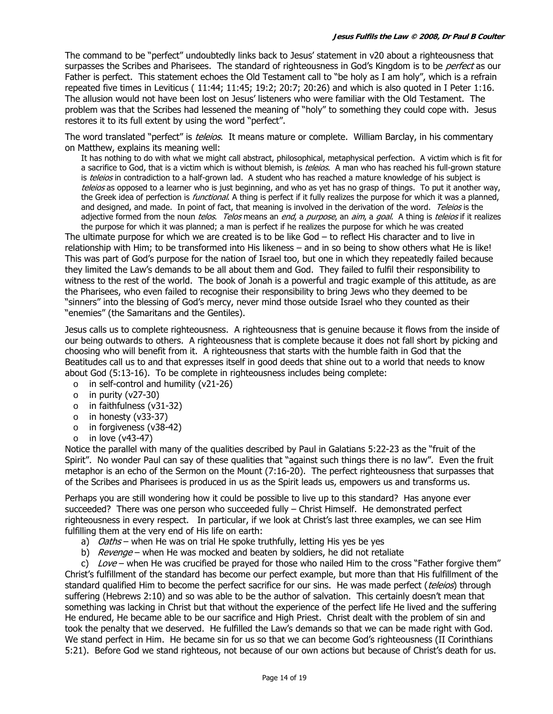The command to be "perfect" undoubtedly links back to Jesus' statement in v20 about a righteousness that surpasses the Scribes and Pharisees. The standard of righteousness in God's Kingdom is to be *perfect* as our Father is perfect. This statement echoes the Old Testament call to "be holy as I am holy", which is a refrain repeated five times in Leviticus ( 11:44; 11:45; 19:2; 20:7; 20:26) and which is also quoted in I Peter 1:16. The allusion would not have been lost on Jesus' listeners who were familiar with the Old Testament. The problem was that the Scribes had lessened the meaning of "holy" to something they could cope with. Jesus restores it to its full extent by using the word "perfect".

The word translated "perfect" is *teleios*. It means mature or complete. William Barclay, in his commentary on Matthew, explains its meaning well:

It has nothing to do with what we might call abstract, philosophical, metaphysical perfection. A victim which is fit for a sacrifice to God, that is a victim which is without blemish, is teleios. A man who has reached his full-grown stature is teleios in contradiction to a half-grown lad. A student who has reached a mature knowledge of his subject is teleios as opposed to a learner who is just beginning, and who as yet has no grasp of things. To put it another way, the Greek idea of perfection is *functional*. A thing is perfect if it fully realizes the purpose for which it was a planned, and designed, and made. In point of fact, that meaning is involved in the derivation of the word. Teleios is the adjective formed from the noun *telos. Telos* means an *end*, a *purpose*, an *aim*, a *qoal*. A thing is *teleios* if it realizes

the purpose for which it was planned; a man is perfect if he realizes the purpose for which he was created The ultimate purpose for which we are created is to be like God – to reflect His character and to live in relationship with Him; to be transformed into His likeness – and in so being to show others what He is like! This was part of God's purpose for the nation of Israel too, but one in which they repeatedly failed because they limited the Law's demands to be all about them and God. They failed to fulfil their responsibility to witness to the rest of the world. The book of Jonah is a powerful and tragic example of this attitude, as are the Pharisees, who even failed to recognise their responsibility to bring Jews who they deemed to be "sinners" into the blessing of God's mercy, never mind those outside Israel who they counted as their "enemies" (the Samaritans and the Gentiles).

Jesus calls us to complete righteousness. A righteousness that is genuine because it flows from the inside of our being outwards to others. A righteousness that is complete because it does not fall short by picking and choosing who will benefit from it. A righteousness that starts with the humble faith in God that the Beatitudes call us to and that expresses itself in good deeds that shine out to a world that needs to know about God (5:13-16). To be complete in righteousness includes being complete:

- $\circ$  in self-control and humility (v21-26)
- $\circ$  in purity (v27-30)
- o in faithfulness (v31-32)
- o in honesty (v33-37)
- o in forgiveness (v38-42)
- $\circ$  in love (v43-47)

Notice the parallel with many of the qualities described by Paul in Galatians 5:22-23 as the "fruit of the Spirit". No wonder Paul can say of these qualities that "against such things there is no law". Even the fruit metaphor is an echo of the Sermon on the Mount (7:16-20). The perfect righteousness that surpasses that of the Scribes and Pharisees is produced in us as the Spirit leads us, empowers us and transforms us.

Perhaps you are still wondering how it could be possible to live up to this standard? Has anyone ever succeeded? There was one person who succeeded fully – Christ Himself. He demonstrated perfect righteousness in every respect. In particular, if we look at Christ's last three examples, we can see Him fulfilling them at the very end of His life on earth:

- a) Oaths when He was on trial He spoke truthfully, letting His yes be yes
- b) Revenge when He was mocked and beaten by soldiers, he did not retaliate

c) Love – when He was crucified be prayed for those who nailed Him to the cross "Father forgive them" Christ's fulfillment of the standard has become our perfect example, but more than that His fulfillment of the standard qualified Him to become the perfect sacrifice for our sins. He was made perfect (teleios) through suffering (Hebrews 2:10) and so was able to be the author of salvation. This certainly doesn't mean that something was lacking in Christ but that without the experience of the perfect life He lived and the suffering He endured, He became able to be our sacrifice and High Priest. Christ dealt with the problem of sin and took the penalty that we deserved. He fulfilled the Law's demands so that we can be made right with God. We stand perfect in Him. He became sin for us so that we can become God's righteousness (II Corinthians 5:21). Before God we stand righteous, not because of our own actions but because of Christ's death for us.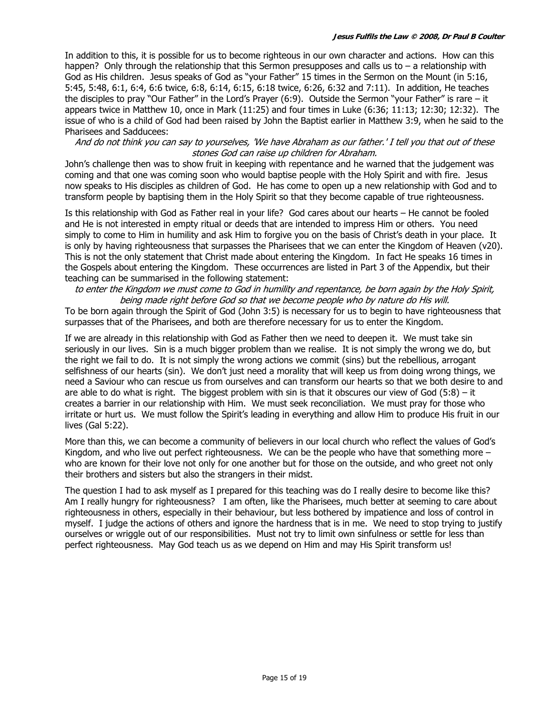In addition to this, it is possible for us to become righteous in our own character and actions. How can this happen? Only through the relationship that this Sermon presupposes and calls us to  $-$  a relationship with God as His children. Jesus speaks of God as "your Father" 15 times in the Sermon on the Mount (in 5:16, 5:45, 5:48, 6:1, 6:4, 6:6 twice, 6:8, 6:14, 6:15, 6:18 twice, 6:26, 6:32 and 7:11). In addition, He teaches the disciples to pray "Our Father" in the Lord's Prayer (6:9). Outside the Sermon "your Father" is rare – it appears twice in Matthew 10, once in Mark (11:25) and four times in Luke (6:36; 11:13; 12:30; 12:32). The issue of who is a child of God had been raised by John the Baptist earlier in Matthew 3:9, when he said to the Pharisees and Sadducees:

And do not think you can say to yourselves, 'We have Abraham as our father.' I tell you that out of these stones God can raise up children for Abraham.

John's challenge then was to show fruit in keeping with repentance and he warned that the judgement was coming and that one was coming soon who would baptise people with the Holy Spirit and with fire. Jesus now speaks to His disciples as children of God. He has come to open up a new relationship with God and to transform people by baptising them in the Holy Spirit so that they become capable of true righteousness.

Is this relationship with God as Father real in your life? God cares about our hearts – He cannot be fooled and He is not interested in empty ritual or deeds that are intended to impress Him or others. You need simply to come to Him in humility and ask Him to forgive you on the basis of Christ's death in your place. It is only by having righteousness that surpasses the Pharisees that we can enter the Kingdom of Heaven (v20). This is not the only statement that Christ made about entering the Kingdom. In fact He speaks 16 times in the Gospels about entering the Kingdom. These occurrences are listed in Part 3 of the Appendix, but their teaching can be summarised in the following statement:

#### to enter the Kingdom we must come to God in humility and repentance, be born again by the Holy Spirit, being made right before God so that we become people who by nature do His will.

To be born again through the Spirit of God (John 3:5) is necessary for us to begin to have righteousness that surpasses that of the Pharisees, and both are therefore necessary for us to enter the Kingdom.

If we are already in this relationship with God as Father then we need to deepen it. We must take sin seriously in our lives. Sin is a much bigger problem than we realise. It is not simply the wrong we do, but the right we fail to do. It is not simply the wrong actions we commit (sins) but the rebellious, arrogant selfishness of our hearts (sin). We don't just need a morality that will keep us from doing wrong things, we need a Saviour who can rescue us from ourselves and can transform our hearts so that we both desire to and are able to do what is right. The biggest problem with sin is that it obscures our view of God  $(5:8)$  – it creates a barrier in our relationship with Him. We must seek reconciliation. We must pray for those who irritate or hurt us. We must follow the Spirit's leading in everything and allow Him to produce His fruit in our lives (Gal 5:22).

More than this, we can become a community of believers in our local church who reflect the values of God's Kingdom, and who live out perfect righteousness. We can be the people who have that something more  $$ who are known for their love not only for one another but for those on the outside, and who greet not only their brothers and sisters but also the strangers in their midst.

The question I had to ask myself as I prepared for this teaching was do I really desire to become like this? Am I really hungry for righteousness? I am often, like the Pharisees, much better at seeming to care about righteousness in others, especially in their behaviour, but less bothered by impatience and loss of control in myself. I judge the actions of others and ignore the hardness that is in me. We need to stop trying to justify ourselves or wriggle out of our responsibilities. Must not try to limit own sinfulness or settle for less than perfect righteousness. May God teach us as we depend on Him and may His Spirit transform us!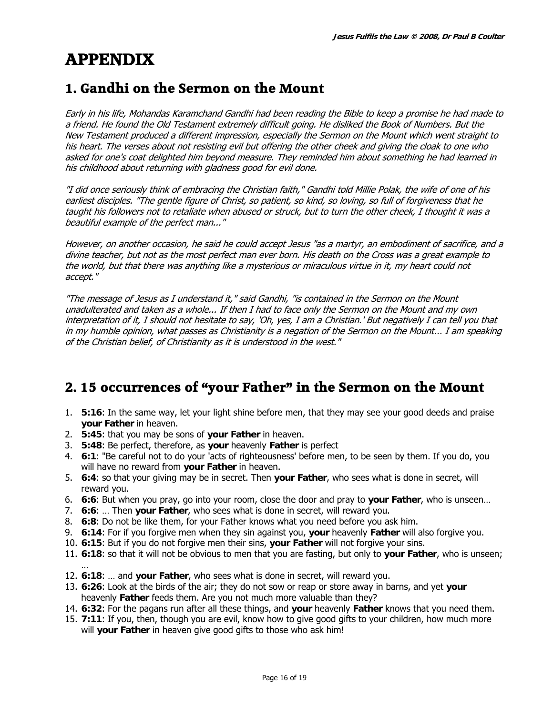# **APPENDIX**

## **1. Gandhi on the Sermon on the Mount**

Early in his life, Mohandas Karamchand Gandhi had been reading the Bible to keep a promise he had made to a friend. He found the Old Testament extremely difficult going. He disliked the Book of Numbers. But the New Testament produced a different impression, especially the Sermon on the Mount which went straight to his heart. The verses about not resisting evil but offering the other cheek and giving the cloak to one who asked for one's coat delighted him beyond measure. They reminded him about something he had learned in his childhood about returning with gladness good for evil done.

"I did once seriously think of embracing the Christian faith," Gandhi told Millie Polak, the wife of one of his earliest disciples. "The gentle figure of Christ, so patient, so kind, so loving, so full of forgiveness that he taught his followers not to retaliate when abused or struck, but to turn the other cheek, I thought it was a beautiful example of the perfect man..."

However, on another occasion, he said he could accept Jesus "as a martyr, an embodiment of sacrifice, and a divine teacher, but not as the most perfect man ever born. His death on the Cross was a great example to the world, but that there was anything like a mysterious or miraculous virtue in it, my heart could not accept."

"The message of Jesus as I understand it," said Gandhi, "is contained in the Sermon on the Mount unadulterated and taken as a whole... If then I had to face only the Sermon on the Mount and my own interpretation of it, I should not hesitate to say, 'Oh, yes, I am a Christian.' But negatively I can tell you that in my humble opinion, what passes as Christianity is a negation of the Sermon on the Mount... I am speaking of the Christian belief, of Christianity as it is understood in the west."

## **2. 15 occurrences of "your Father" in the Sermon on the Mount**

- 1. **5:16**: In the same way, let your light shine before men, that they may see your good deeds and praise **your Father** in heaven.
- 2. **5:45**: that you may be sons of **your Father** in heaven.
- 3. **5:48**: Be perfect, therefore, as **your** heavenly **Father** is perfect
- 4. **6:1**: "Be careful not to do your 'acts of righteousness' before men, to be seen by them. If you do, you will have no reward from **your Father** in heaven.
- 5. **6:4**: so that your giving may be in secret. Then **your Father**, who sees what is done in secret, will reward you.
- 6. **6:6**: But when you pray, go into your room, close the door and pray to **your Father**, who is unseen…
- 7. **6:6**: … Then **your Father**, who sees what is done in secret, will reward you.
- 8. **6:8**: Do not be like them, for your Father knows what you need before you ask him.
- 9. **6:14**: For if you forgive men when they sin against you, **your** heavenly **Father** will also forgive you.
- 10. **6:15**: But if you do not forgive men their sins, **your Father** will not forgive your sins.
- 11. **6:18**: so that it will not be obvious to men that you are fasting, but only to **your Father**, who is unseen; …
- 12. **6:18**: … and **your Father**, who sees what is done in secret, will reward you.
- 13. **6:26**: Look at the birds of the air; they do not sow or reap or store away in barns, and yet **your** heavenly **Father** feeds them. Are you not much more valuable than they?
- 14. **6:32**: For the pagans run after all these things, and **your** heavenly **Father** knows that you need them.
- 15. **7:11**: If you, then, though you are evil, know how to give good gifts to your children, how much more will **your Father** in heaven give good gifts to those who ask him!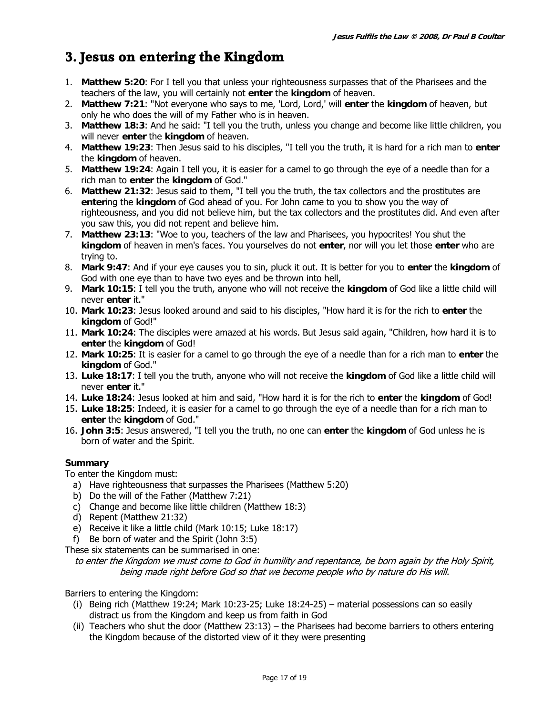## **3. Jesus on entering the Kingdom**

- 1. **Matthew 5:20**: For I tell you that unless your righteousness surpasses that of the Pharisees and the teachers of the law, you will certainly not **enter** the **kingdom** of heaven.
- 2. **Matthew 7:21**: "Not everyone who says to me, 'Lord, Lord,' will **enter** the **kingdom** of heaven, but only he who does the will of my Father who is in heaven.
- 3. **Matthew 18:3**: And he said: "I tell you the truth, unless you change and become like little children, you will never **enter** the **kingdom** of heaven.
- 4. **Matthew 19:23**: Then Jesus said to his disciples, "I tell you the truth, it is hard for a rich man to **enter** the **kingdom** of heaven.
- 5. **Matthew 19:24**: Again I tell you, it is easier for a camel to go through the eye of a needle than for a rich man to **enter** the **kingdom** of God."
- 6. **Matthew 21:32**: Jesus said to them, "I tell you the truth, the tax collectors and the prostitutes are **enter**ing the **kingdom** of God ahead of you. For John came to you to show you the way of righteousness, and you did not believe him, but the tax collectors and the prostitutes did. And even after you saw this, you did not repent and believe him.
- 7. **Matthew 23:13**: "Woe to you, teachers of the law and Pharisees, you hypocrites! You shut the **kingdom** of heaven in men's faces. You yourselves do not **enter**, nor will you let those **enter** who are trying to.
- 8. **Mark 9:47**: And if your eye causes you to sin, pluck it out. It is better for you to **enter** the **kingdom** of God with one eye than to have two eyes and be thrown into hell,
- 9. **Mark 10:15**: I tell you the truth, anyone who will not receive the **kingdom** of God like a little child will never **enter** it."
- 10. **Mark 10:23**: Jesus looked around and said to his disciples, "How hard it is for the rich to **enter** the **kingdom** of God!"
- 11. **Mark 10:24**: The disciples were amazed at his words. But Jesus said again, "Children, how hard it is to **enter** the **kingdom** of God!
- 12. **Mark 10:25**: It is easier for a camel to go through the eye of a needle than for a rich man to **enter** the **kingdom** of God."
- 13. **Luke 18:17**: I tell you the truth, anyone who will not receive the **kingdom** of God like a little child will never **enter** it."
- 14. **Luke 18:24**: Jesus looked at him and said, "How hard it is for the rich to **enter** the **kingdom** of God!
- 15. **Luke 18:25**: Indeed, it is easier for a camel to go through the eye of a needle than for a rich man to **enter** the **kingdom** of God."
- 16. **John 3:5**: Jesus answered, "I tell you the truth, no one can **enter** the **kingdom** of God unless he is born of water and the Spirit.

#### **Summary**

To enter the Kingdom must:

- a) Have righteousness that surpasses the Pharisees (Matthew 5:20)
- b) Do the will of the Father (Matthew 7:21)
- c) Change and become like little children (Matthew 18:3)
- d) Repent (Matthew 21:32)
- e) Receive it like a little child (Mark 10:15; Luke 18:17)
- f) Be born of water and the Spirit (John 3:5)

These six statements can be summarised in one:

#### to enter the Kingdom we must come to God in humility and repentance, be born again by the Holy Spirit, being made right before God so that we become people who by nature do His will.

Barriers to entering the Kingdom:

- (i) Being rich (Matthew 19:24; Mark 10:23-25; Luke 18:24-25) material possessions can so easily distract us from the Kingdom and keep us from faith in God
- (ii) Teachers who shut the door (Matthew 23:13) the Pharisees had become barriers to others entering the Kingdom because of the distorted view of it they were presenting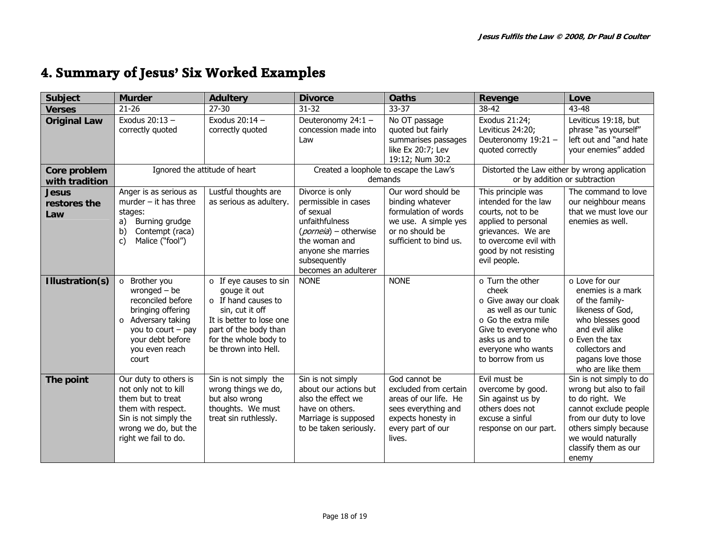## **4. Summary of Jesus' Six Worked Examples**

| <b>Subject</b>                 | <b>Murder</b>                                                                                                                                                                   | <b>Adultery</b>                                                                                                                                                                                    | <b>Divorce</b>                                                                                                                                                                          | <b>Oaths</b>                                                                                                                                | <b>Revenge</b>                                                                                                                                                                               | Love                                                                                                                                                                                                   |
|--------------------------------|---------------------------------------------------------------------------------------------------------------------------------------------------------------------------------|----------------------------------------------------------------------------------------------------------------------------------------------------------------------------------------------------|-----------------------------------------------------------------------------------------------------------------------------------------------------------------------------------------|---------------------------------------------------------------------------------------------------------------------------------------------|----------------------------------------------------------------------------------------------------------------------------------------------------------------------------------------------|--------------------------------------------------------------------------------------------------------------------------------------------------------------------------------------------------------|
| <b>Verses</b>                  | $21 - 26$                                                                                                                                                                       | $27 - 30$                                                                                                                                                                                          | $31 - 32$                                                                                                                                                                               | 33-37                                                                                                                                       | 38-42                                                                                                                                                                                        | 43-48                                                                                                                                                                                                  |
| <b>Original Law</b>            | Exodus 20:13 -<br>correctly quoted                                                                                                                                              | Exodus $20:14-$<br>correctly quoted                                                                                                                                                                | Deuteronomy 24:1 -<br>concession made into<br>Law                                                                                                                                       | No OT passage<br>quoted but fairly<br>summarises passages<br>like Ex 20:7; Lev<br>19:12; Num 30:2                                           | Exodus 21:24;<br>Leviticus 24:20;<br>Deuteronomy 19:21 -<br>quoted correctly                                                                                                                 | Leviticus 19:18, but<br>phrase "as yourself"<br>left out and "and hate<br>your enemies" added                                                                                                          |
| Core problem<br>with tradition |                                                                                                                                                                                 | Ignored the attitude of heart                                                                                                                                                                      | Created a loophole to escape the Law's<br>demands                                                                                                                                       |                                                                                                                                             | Distorted the Law either by wrong application<br>or by addition or subtraction                                                                                                               |                                                                                                                                                                                                        |
| Jesus<br>restores the<br>Law   | Anger is as serious as<br>murder $-$ it has three<br>stages:<br>Burning grudge<br>a)<br>b)<br>Contempt (raca)<br>Malice ("fool")<br>C)                                          | Lustful thoughts are<br>as serious as adultery.                                                                                                                                                    | Divorce is only<br>permissible in cases<br>of sexual<br>unfaithfulness<br>( <i>porneia</i> ) – otherwise<br>the woman and<br>anyone she marries<br>subsequently<br>becomes an adulterer | Our word should be<br>binding whatever<br>formulation of words<br>we use. A simple yes<br>or no should be<br>sufficient to bind us.         | This principle was<br>intended for the law<br>courts, not to be<br>applied to personal<br>grievances. We are<br>to overcome evil with<br>good by not resisting<br>evil people.               | The command to love<br>our neighbour means<br>that we must love our<br>enemies as well.                                                                                                                |
| Illustration(s)                | Brother you<br>$\circ$<br>wronged $-$ be<br>reconciled before<br>bringing offering<br>o Adversary taking<br>you to court $-$ pay<br>your debt before<br>you even reach<br>court | $\circ$ If eye causes to sin<br>gouge it out<br>$\circ$ If hand causes to<br>sin, cut it off<br>It is better to lose one<br>part of the body than<br>for the whole body to<br>be thrown into Hell. | <b>NONE</b>                                                                                                                                                                             | <b>NONE</b>                                                                                                                                 | o Turn the other<br>cheek<br>o Give away our cloak<br>as well as our tunic<br>$\circ$ Go the extra mile<br>Give to everyone who<br>asks us and to<br>everyone who wants<br>to borrow from us | o Love for our<br>enemies is a mark<br>of the family-<br>likeness of God,<br>who blesses good<br>and evil alike<br>$\circ$ Even the tax<br>collectors and<br>pagans love those<br>who are like them    |
| The point                      | Our duty to others is<br>not only not to kill<br>them but to treat<br>them with respect.<br>Sin is not simply the<br>wrong we do, but the<br>right we fail to do.               | Sin is not simply the<br>wrong things we do,<br>but also wrong<br>thoughts. We must<br>treat sin ruthlessly.                                                                                       | Sin is not simply<br>about our actions but<br>also the effect we<br>have on others.<br>Marriage is supposed<br>to be taken seriously.                                                   | God cannot be<br>excluded from certain<br>areas of our life. He<br>sees everything and<br>expects honesty in<br>every part of our<br>lives. | Evil must be<br>overcome by good.<br>Sin against us by<br>others does not<br>excuse a sinful<br>response on our part.                                                                        | Sin is not simply to do<br>wrong but also to fail<br>to do right. We<br>cannot exclude people<br>from our duty to love<br>others simply because<br>we would naturally<br>classify them as our<br>enemy |